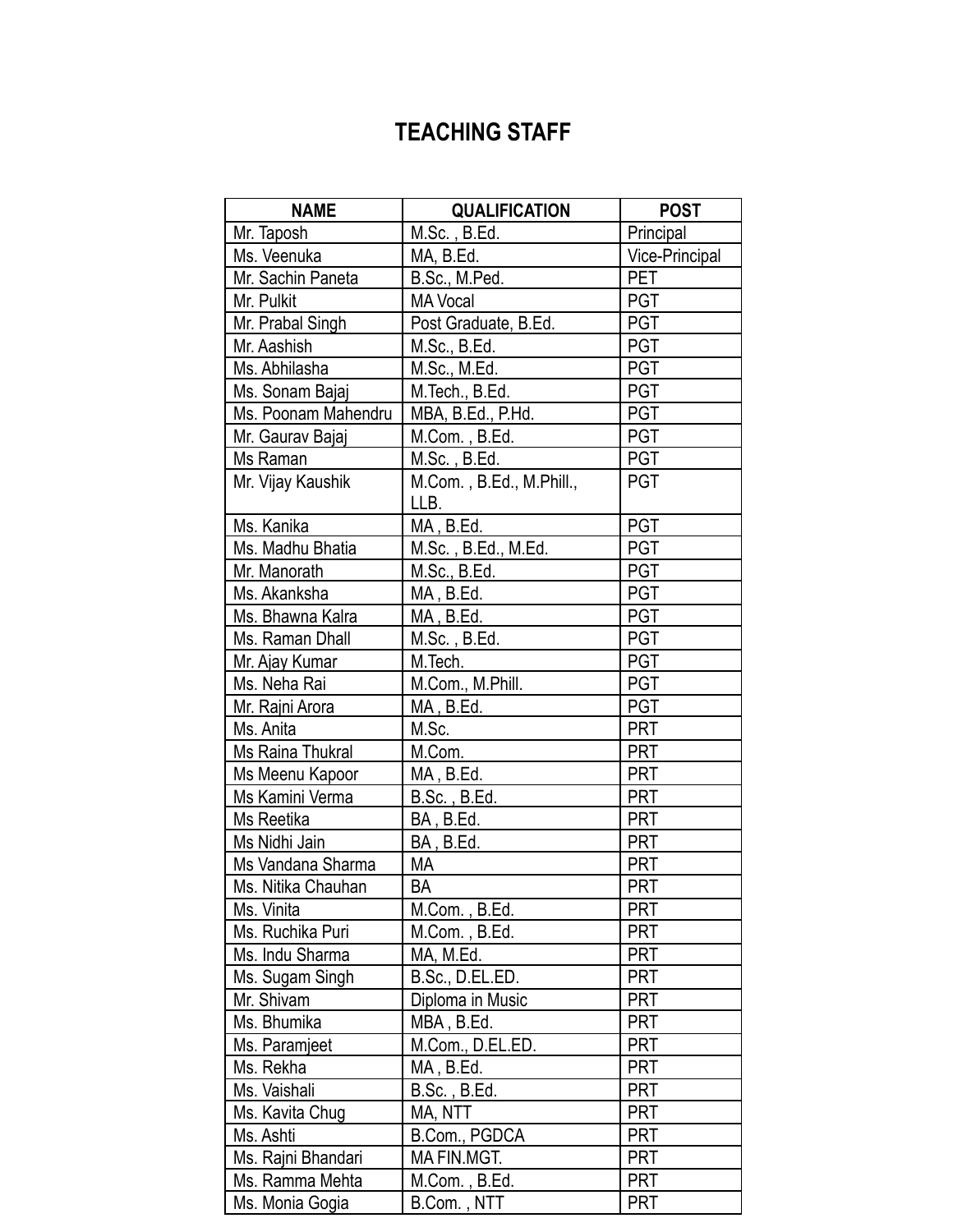## **TEACHING STAFF**

| <b>NAME</b>         | <b>QUALIFICATION</b>             | <b>POST</b>    |
|---------------------|----------------------------------|----------------|
| Mr. Taposh          | M.Sc., B.Ed.                     | Principal      |
| Ms. Veenuka         | MA, B.Ed.                        | Vice-Principal |
| Mr. Sachin Paneta   | B.Sc., M.Ped.                    | PET            |
| Mr. Pulkit          | <b>MA Vocal</b>                  | <b>PGT</b>     |
| Mr. Prabal Singh    | Post Graduate, B.Ed.             | <b>PGT</b>     |
| Mr. Aashish         | M.Sc., B.Ed.                     | <b>PGT</b>     |
| Ms. Abhilasha       | M.Sc., M.Ed.                     | <b>PGT</b>     |
| Ms. Sonam Bajaj     | M.Tech., B.Ed.                   | <b>PGT</b>     |
| Ms. Poonam Mahendru | MBA, B.Ed., P.Hd.                | <b>PGT</b>     |
| Mr. Gaurav Bajaj    | M.Com., B.Ed.                    | <b>PGT</b>     |
| Ms Raman            | M.Sc., B.Ed.                     | <b>PGT</b>     |
| Mr. Vijay Kaushik   | M.Com., B.Ed., M.Phill.,<br>LLB. | <b>PGT</b>     |
| Ms. Kanika          | MA, B.Ed.                        | <b>PGT</b>     |
| Ms. Madhu Bhatia    | M.Sc., B.Ed., M.Ed.              | <b>PGT</b>     |
| Mr. Manorath        | M.Sc., B.Ed.                     | <b>PGT</b>     |
| Ms. Akanksha        | MA, B.Ed.                        | <b>PGT</b>     |
| Ms. Bhawna Kalra    | MA, B.Ed.                        | <b>PGT</b>     |
| Ms. Raman Dhall     | M.Sc., B.Ed.                     | <b>PGT</b>     |
| Mr. Ajay Kumar      | M.Tech.                          | <b>PGT</b>     |
| Ms. Neha Rai        | M.Com., M.Phill.                 | <b>PGT</b>     |
| Mr. Rajni Arora     | MA, B.Ed.                        | <b>PGT</b>     |
| Ms. Anita           | M.Sc.                            | <b>PRT</b>     |
| Ms Raina Thukral    | M.Com.                           | <b>PRT</b>     |
| Ms Meenu Kapoor     | MA, B.Ed.                        | <b>PRT</b>     |
| Ms Kamini Verma     | B.Sc., B.Ed.                     | <b>PRT</b>     |
| Ms Reetika          | BA, B.Ed.                        | <b>PRT</b>     |
| Ms Nidhi Jain       | BA, B.Ed.                        | <b>PRT</b>     |
| Ms Vandana Sharma   | MA                               | <b>PRT</b>     |
| Ms. Nitika Chauhan  | <b>BA</b>                        | <b>PRT</b>     |
| Ms. Vinita          | M.Com., B.Ed.                    | <b>PRT</b>     |
| Ms. Ruchika Puri    | M.Com., B.Ed.                    | <b>PRT</b>     |
| Ms. Indu Sharma     | MA, M.Ed.                        | <b>PRT</b>     |
| Ms. Sugam Singh     | B.Sc., D.EL.ED.                  | PRT            |
| Mr. Shivam          | Diploma in Music                 | <b>PRT</b>     |
| Ms. Bhumika         | MBA, B.Ed.                       | <b>PRT</b>     |
| Ms. Paramjeet       | M.Com., D.EL.ED.                 | <b>PRT</b>     |
| Ms. Rekha           | MA, B.Ed.                        | <b>PRT</b>     |
| Ms. Vaishali        | B.Sc., B.Ed.                     | <b>PRT</b>     |
| Ms. Kavita Chug     | MA, NTT                          | <b>PRT</b>     |
| Ms. Ashti           | B.Com., PGDCA                    | PRT            |
| Ms. Rajni Bhandari  | MA FIN.MGT.                      | <b>PRT</b>     |
| Ms. Ramma Mehta     | M.Com., B.Ed.                    | <b>PRT</b>     |
| Ms. Monia Gogia     | B.Com., NTT                      | <b>PRT</b>     |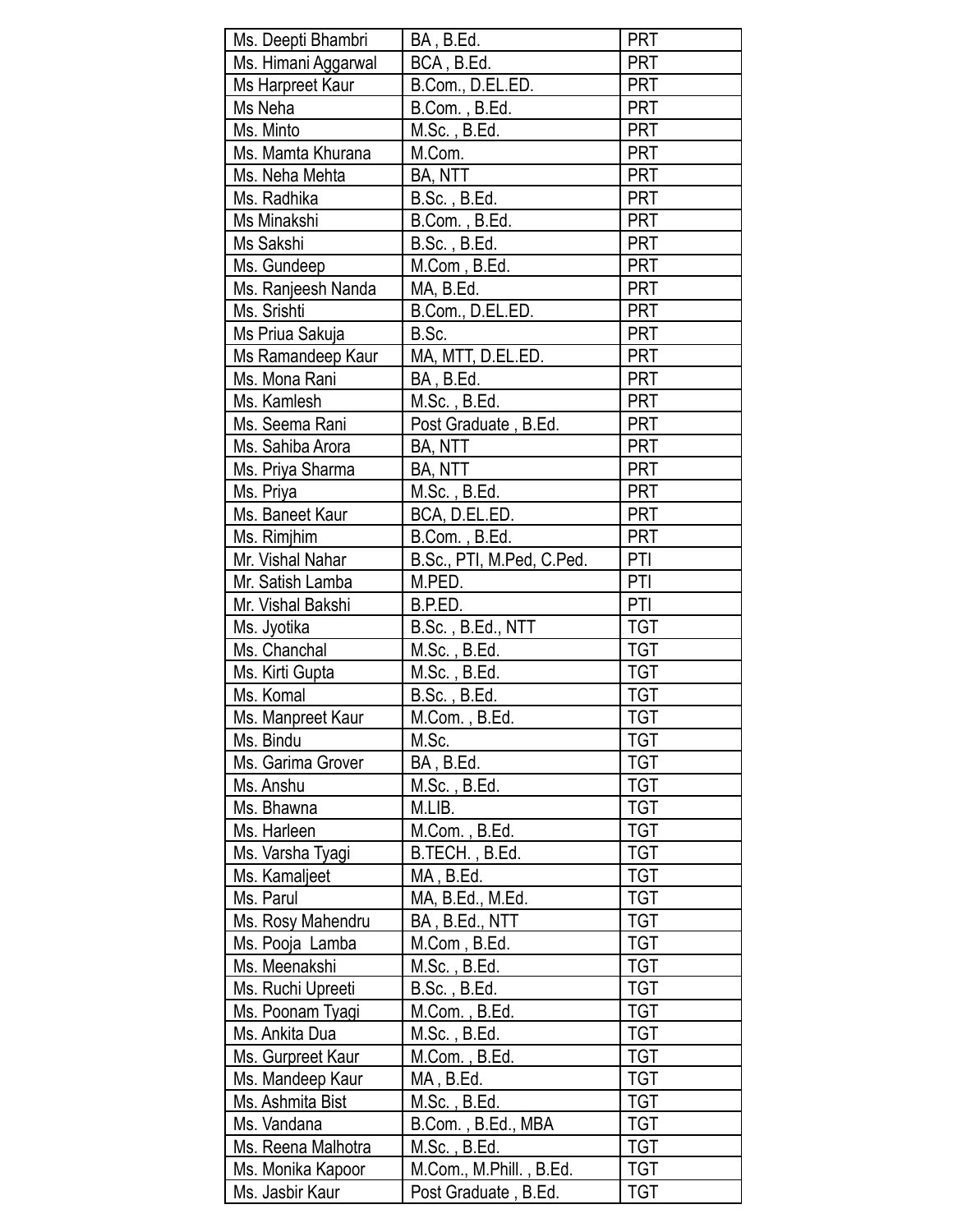| Ms. Deepti Bhambri              | BA, B.Ed.                 | PRT        |
|---------------------------------|---------------------------|------------|
| Ms. Himani Aggarwal             | BCA, B.Ed.                | <b>PRT</b> |
| Ms Harpreet Kaur                | B.Com., D.EL.ED.          | PRT        |
| Ms Neha                         | B.Com., B.Ed.             | <b>PRT</b> |
| Ms. Minto                       | M.Sc., B.Ed.              | <b>PRT</b> |
| Ms. Mamta Khurana               | M.Com.                    | PRT        |
| Ms. Neha Mehta                  | BA, NTT                   | PRT        |
| Ms. Radhika                     | B.Sc., B.Ed.              | <b>PRT</b> |
| Ms Minakshi                     | B.Com., B.Ed.             | <b>PRT</b> |
| Ms Sakshi                       | B.Sc., B.Ed.              | PRT        |
| Ms. Gundeep                     | M.Com, B.Ed.              | PRT        |
| Ms. Ranjeesh Nanda              | MA, B.Ed.                 | <b>PRT</b> |
| Ms. Srishti                     | B.Com., D.EL.ED.          | PRT        |
| Ms Priua Sakuja                 | B.Sc.                     | <b>PRT</b> |
| Ms Ramandeep Kaur               | MA, MTT, D.EL.ED.         | <b>PRT</b> |
| Ms. Mona Rani                   | BA, B.Ed.                 | <b>PRT</b> |
| Ms. Kamlesh                     | M.Sc., B.Ed.              | <b>PRT</b> |
|                                 |                           |            |
| Ms. Seema Rani                  | Post Graduate, B.Ed.      | <b>PRT</b> |
| Ms. Sahiba Arora                | BA, NTT                   | PRT        |
| Ms. Priya Sharma                | BA, NTT                   | PRT        |
| Ms. Priya                       | M.Sc., B.Ed.              | <b>PRT</b> |
| Ms. Baneet Kaur                 | BCA, D.EL.ED.             | <b>PRT</b> |
| Ms. Rimjhim                     | B.Com., B.Ed.             | <b>PRT</b> |
| Mr. Vishal Nahar                | B.Sc., PTI, M.Ped, C.Ped. | PTI        |
| Mr. Satish Lamba                | M.PED.                    | PTI        |
| Mr. Vishal Bakshi               | B.P.ED.                   | PTI        |
| Ms. Jyotika                     | B.Sc., B.Ed., NTT         | <b>TGT</b> |
| Ms. Chanchal                    | M.Sc., B.Ed.              | <b>TGT</b> |
| Ms. Kirti Gupta                 | M.Sc., B.Ed.              | <b>TGT</b> |
| Ms. Komal                       | B.Sc., B.Ed.              | <b>TGT</b> |
| Ms. Manpreet Kaur               | M.Com., B.Ed.             | <b>TGT</b> |
| Ms. Bindu                       | M.Sc.                     | TGT        |
| Ms. Garima Grover               | BA, B.Ed.                 | <b>TGT</b> |
| Ms. Anshu                       | M.Sc. , B.Ed.             | <b>TGT</b> |
| Ms. Bhawna                      | M.LIB.                    | <b>TGT</b> |
| Ms. Harleen                     | M.Com., B.Ed.             | <b>TGT</b> |
| Ms. Varsha Tyagi                | B.TECH., B.Ed.            | <b>TGT</b> |
| Ms. Kamaljeet                   | MA, B.Ed.                 | <b>TGT</b> |
| Ms. Parul                       | MA, B.Ed., M.Ed.          | <b>TGT</b> |
| Ms. Rosy Mahendru               | BA, B.Ed., NTT            | <b>TGT</b> |
| Ms. Pooja Lamba                 | M.Com, B.Ed.              | TGT        |
| Ms. Meenakshi                   | M.Sc., B.Ed.              | <b>TGT</b> |
| Ms. Ruchi Upreeti               | B.Sc., B.Ed.              | <b>TGT</b> |
| Ms. Poonam Tyagi                | M.Com., B.Ed.             | <b>TGT</b> |
| Ms. Ankita Dua                  | M.Sc., B.Ed.              | <b>TGT</b> |
| Ms. Gurpreet Kaur               | M.Com., B.Ed.             | <b>TGT</b> |
| Ms. Mandeep Kaur                | MA, B.Ed.                 | <b>TGT</b> |
|                                 |                           | <b>TGT</b> |
| Ms. Ashmita Bist<br>Ms. Vandana | M.Sc. , B.Ed.             | <b>TGT</b> |
|                                 | B.Com., B.Ed., MBA        |            |
| Ms. Reena Malhotra              | M.Sc. , B.Ed.             | <b>TGT</b> |
| Ms. Monika Kapoor               | M.Com., M.Phill., B.Ed.   | TGT        |
| Ms. Jasbir Kaur                 | Post Graduate, B.Ed.      | <b>TGT</b> |